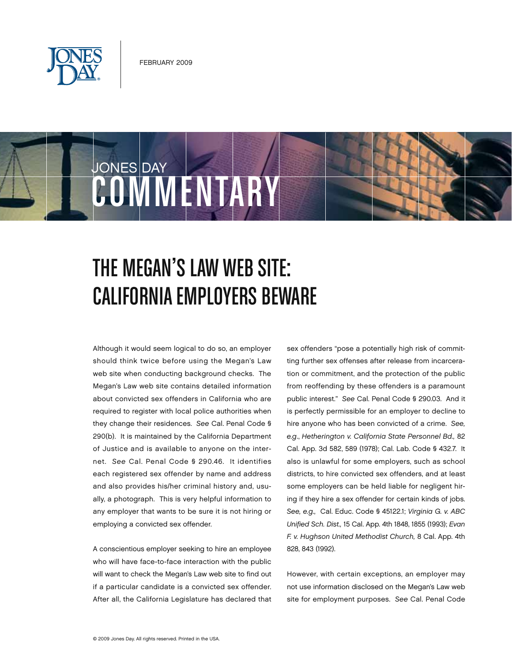

**COMMENTAR** 

JONES DAY



Although it would seem logical to do so, an employer should think twice before using the Megan's Law web site when conducting background checks. The Megan's Law web site contains detailed information about convicted sex offenders in California who are required to register with local police authorities when they change their residences. *See* Cal. Penal Code § 290(b). It is maintained by the California Department of Justice and is available to anyone on the internet. *See* Cal. Penal Code § 290.46. It identifies each registered sex offender by name and address and also provides his/her criminal history and, usually, a photograph. This is very helpful information to any employer that wants to be sure it is not hiring or employing a convicted sex offender.

A conscientious employer seeking to hire an employee who will have face-to-face interaction with the public will want to check the Megan's Law web site to find out if a particular candidate is a convicted sex offender. After all, the California Legislature has declared that

sex offenders "pose a potentially high risk of committing further sex offenses after release from incarceration or commitment, and the protection of the public from reoffending by these offenders is a paramount public interest." *See* Cal. Penal Code § 290.03. And it is perfectly permissible for an employer to decline to hire anyone who has been convicted of a crime. *See, e.g*., *Hetherington v. California State Personnel Bd.,* 82 Cal. App. 3d 582, 589 (1978); Cal. Lab. Code § 432.7. It also is unlawful for some employers, such as school districts, to hire convicted sex offenders, and at least some employers can be held liable for negligent hiring if they hire a sex offender for certain kinds of jobs. *See, e.g.,* Cal. Educ. Code § 45122.1; *Virginia G. v. ABC Unified Sch. Dist.,* 15 Cal. App. 4th 1848, 1855 (1993); *Evan F. v. Hughson United Methodist Church,* 8 Cal. App. 4th 828, 843 (1992).

However, with certain exceptions, an employer may not use information disclosed on the Megan's Law web site for employment purposes. *See* Cal. Penal Code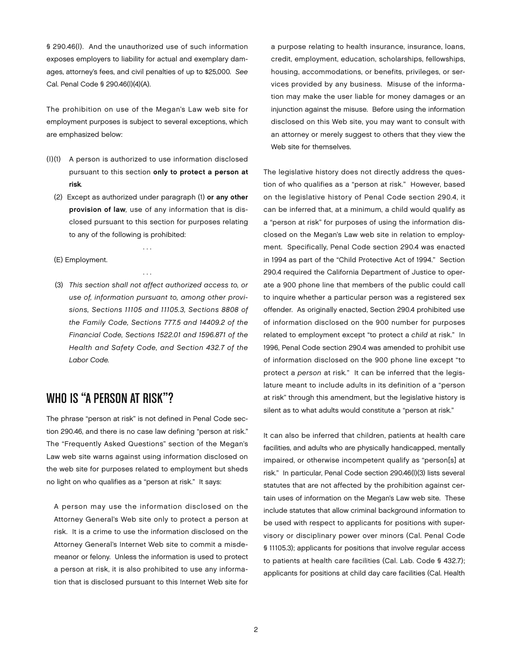§ 290.46(l). And the unauthorized use of such information exposes employers to liability for actual and exemplary damages, attorney's fees, and civil penalties of up to \$25,000. *See* Cal. Penal Code § 290.46(l)(4)(A).

The prohibition on use of the Megan's Law web site for employment purposes is subject to several exceptions, which are emphasized below:

- (l)(1) A person is authorized to use information disclosed pursuant to this section only to protect a person at risk*.*
	- (2) Except as authorized under paragraph (1) or any other provision of law*,* use of any information that is disclosed pursuant to this section for purposes relating to any of the following is prohibited:

. . .

. . .

- (E) Employment.
- (3) *This section shall not affect authorized access to, or use of, information pursuant to, among other provisions, Sections 11105 and 11105.3, Sections 8808 of the Family Code, Sections 777.5 and 14409.2 of the Financial Code, Sections 1522.01 and 1596.871 of the Health and Safety Code, and Section 432.7 of the Labor Code.*

# WHO IS "A PERSON AT RISK"?

The phrase "person at risk" is not defined in Penal Code section 290.46, and there is no case law defining "person at risk." The "Frequently Asked Questions" section of the Megan's Law web site warns against using information disclosed on the web site for purposes related to employment but sheds no light on who qualifies as a "person at risk." It says:

A person may use the information disclosed on the Attorney General's Web site only to protect a person at risk. It is a crime to use the information disclosed on the Attorney General's Internet Web site to commit a misdemeanor or felony. Unless the information is used to protect a person at risk, it is also prohibited to use any information that is disclosed pursuant to this Internet Web site for

a purpose relating to health insurance, insurance, loans, credit, employment, education, scholarships, fellowships, housing, accommodations, or benefits, privileges, or services provided by any business. Misuse of the information may make the user liable for money damages or an injunction against the misuse. Before using the information disclosed on this Web site, you may want to consult with an attorney or merely suggest to others that they view the Web site for themselves.

The legislative history does not directly address the question of who qualifies as a "person at risk." However, based on the legislative history of Penal Code section 290.4, it can be inferred that, at a minimum, a child would qualify as a "person at risk" for purposes of using the information disclosed on the Megan's Law web site in relation to employment. Specifically, Penal Code section 290.4 was enacted in 1994 as part of the "Child Protective Act of 1994." Section 290.4 required the California Department of Justice to operate a 900 phone line that members of the public could call to inquire whether a particular person was a registered sex offender. As originally enacted, Section 290.4 prohibited use of information disclosed on the 900 number for purposes related to employment except "to protect a *child* at risk." In 1996, Penal Code section 290.4 was amended to prohibit use of information disclosed on the 900 phone line except "to protect a *person* at risk*.*" It can be inferred that the legislature meant to include adults in its definition of a "person at risk" through this amendment, but the legislative history is silent as to what adults would constitute a "person at risk."

It can also be inferred that children, patients at health care facilities, and adults who are physically handicapped, mentally impaired, or otherwise incompetent qualify as "person[s] at risk." In particular, Penal Code section 290.46(l)(3) lists several statutes that are not affected by the prohibition against certain uses of information on the Megan's Law web site. These include statutes that allow criminal background information to be used with respect to applicants for positions with supervisory or disciplinary power over minors (Cal. Penal Code § 11105.3); applicants for positions that involve regular access to patients at health care facilities (Cal. Lab. Code § 432.7); applicants for positions at child day care facilities (Cal. Health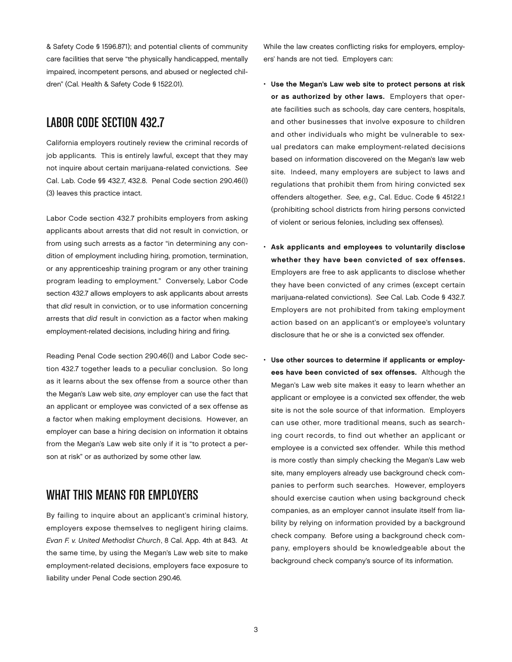& Safety Code § 1596.871); and potential clients of community care facilities that serve "the physically handicapped, mentally impaired, incompetent persons, and abused or neglected children" (Cal. Health & Safety Code § 1522.01).

### Labor Code Section 432.7

California employers routinely review the criminal records of job applicants. This is entirely lawful, except that they may not inquire about certain marijuana-related convictions. *See*  Cal. Lab. Code §§ 432.7, 432.8. Penal Code section 290.46(l) (3) leaves this practice intact.

Labor Code section 432.7 prohibits employers from asking applicants about arrests that did not result in conviction, or from using such arrests as a factor "in determining any condition of employment including hiring, promotion, termination, or any apprenticeship training program or any other training program leading to employment." Conversely, Labor Code section 432.7 allows employers to ask applicants about arrests that *did* result in conviction, or to use information concerning arrests that *did* result in conviction as a factor when making employment-related decisions, including hiring and firing.

Reading Penal Code section 290.46(l) and Labor Code section 432.7 together leads to a peculiar conclusion. So long as it learns about the sex offense from a source other than the Megan's Law web site, *any* employer can use the fact that an applicant or employee was convicted of a sex offense as a factor when making employment decisions. However, an employer can base a hiring decision on information it obtains from the Megan's Law web site only if it is "to protect a person at risk" or as authorized by some other law.

### What This Means for Employers

By failing to inquire about an applicant's criminal history, employers expose themselves to negligent hiring claims. *Evan F. v. United Methodist Church*, 8 Cal. App. 4th at 843. At the same time, by using the Megan's Law web site to make employment-related decisions, employers face exposure to liability under Penal Code section 290.46.

While the law creates conflicting risks for employers, employers' hands are not tied. Employers can:

- • Use the Megan's Law web site to protect persons at risk or as authorized by other laws. Employers that operate facilities such as schools, day care centers, hospitals, and other businesses that involve exposure to children and other individuals who might be vulnerable to sexual predators can make employment-related decisions based on information discovered on the Megan's law web site. Indeed, many employers are subject to laws and regulations that prohibit them from hiring convicted sex offenders altogether. *See, e.g.,* Cal. Educ. Code § 45122.1 (prohibiting school districts from hiring persons convicted of violent or serious felonies, including sex offenses).
- • Ask applicants and employees to voluntarily disclose whether they have been convicted of sex offenses. Employers are free to ask applicants to disclose whether they have been convicted of any crimes (except certain marijuana-related convictions). *See* Cal. Lab. Code § 432.7. Employers are not prohibited from taking employment action based on an applicant's or employee's voluntary disclosure that he or she is a convicted sex offender.
- Use other sources to determine if applicants or employees have been convicted of sex offenses. Although the Megan's Law web site makes it easy to learn whether an applicant or employee is a convicted sex offender, the web site is not the sole source of that information. Employers can use other, more traditional means, such as searching court records, to find out whether an applicant or employee is a convicted sex offender. While this method is more costly than simply checking the Megan's Law web site, many employers already use background check companies to perform such searches. However, employers should exercise caution when using background check companies, as an employer cannot insulate itself from liability by relying on information provided by a background check company. Before using a background check company, employers should be knowledgeable about the background check company's source of its information.